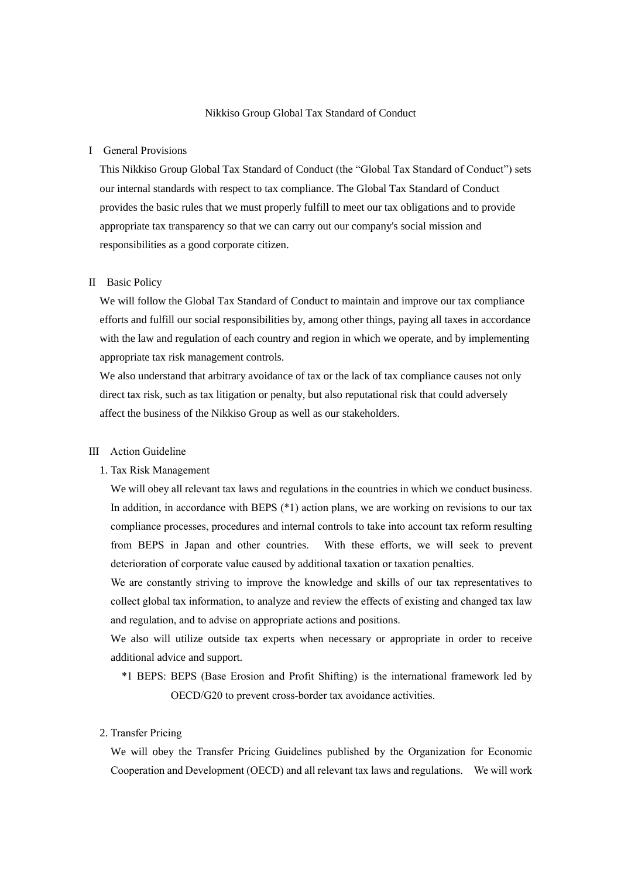#### Ⅰ General Provisions

This Nikkiso Group Global Tax Standard of Conduct (the "Global Tax Standard of Conduct") sets our internal standards with respect to tax compliance. The Global Tax Standard of Conduct provides the basic rules that we must properly fulfill to meet our tax obligations and to provide appropriate tax transparency so that we can carry out our company's social mission and responsibilities as a good corporate citizen.

### Ⅱ Basic Policy

We will follow the Global Tax Standard of Conduct to maintain and improve our tax compliance efforts and fulfill our social responsibilities by, among other things, paying all taxes in accordance with the law and regulation of each country and region in which we operate, and by implementing appropriate tax risk management controls.

We also understand that arbitrary avoidance of tax or the lack of tax compliance causes not only direct tax risk, such as tax litigation or penalty, but also reputational risk that could adversely affect the business of the Nikkiso Group as well as our stakeholders.

# Ⅲ Action Guideline

#### 1. Tax Risk Management

We will obey all relevant tax laws and regulations in the countries in which we conduct business. In addition, in accordance with BEPS (\*1) action plans, we are working on revisions to our tax compliance processes, procedures and internal controls to take into account tax reform resulting from BEPS in Japan and other countries. With these efforts, we will seek to prevent deterioration of corporate value caused by additional taxation or taxation penalties.

We are constantly striving to improve the knowledge and skills of our tax representatives to collect global tax information, to analyze and review the effects of existing and changed tax law and regulation, and to advise on appropriate actions and positions.

We also will utilize outside tax experts when necessary or appropriate in order to receive additional advice and support.

\*1 BEPS: BEPS (Base Erosion and Profit Shifting) is the international framework led by OECD/G20 to prevent cross-border tax avoidance activities.

# 2. Transfer Pricing

We will obey the Transfer Pricing Guidelines published by the Organization for Economic Cooperation and Development (OECD) and all relevant tax laws and regulations. We will work